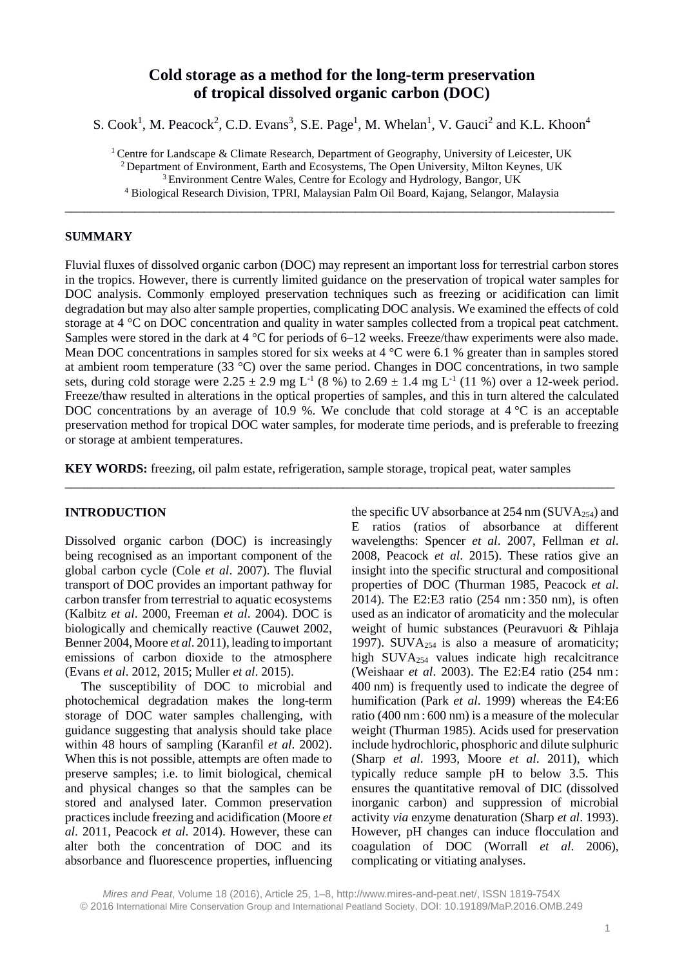# **Cold storage as a method for the long-term preservation of tropical dissolved organic carbon (DOC)**

S. Cook<sup>1</sup>, M. Peacock<sup>2</sup>, C.D. Evans<sup>3</sup>, S.E. Page<sup>1</sup>, M. Whelan<sup>1</sup>, V. Gauci<sup>2</sup> and K.L. Khoon<sup>4</sup>

<sup>1</sup> Centre for Landscape & Climate Research, Department of Geography, University of Leicester, UK 2 Department of Environment, Earth and Ecosystems, The Open University, Milton Keynes, UK 3 Environment Centre Wales, Centre for Ecology and Hydrology, Bangor, UK <sup>4</sup> Biological Research Division, TPRI, Malaysian Palm Oil Board, Kajang, Selangor, Malaysia

\_\_\_\_\_\_\_\_\_\_\_\_\_\_\_\_\_\_\_\_\_\_\_\_\_\_\_\_\_\_\_\_\_\_\_\_\_\_\_\_\_\_\_\_\_\_\_\_\_\_\_\_\_\_\_\_\_\_\_\_\_\_\_\_\_\_\_\_\_\_\_\_\_\_\_\_\_\_\_\_\_\_\_\_\_\_\_

# **SUMMARY**

Fluvial fluxes of dissolved organic carbon (DOC) may represent an important loss for terrestrial carbon stores in the tropics. However, there is currently limited guidance on the preservation of tropical water samples for DOC analysis. Commonly employed preservation techniques such as freezing or acidification can limit degradation but may also alter sample properties, complicating DOC analysis. We examined the effects of cold storage at 4 °C on DOC concentration and quality in water samples collected from a tropical peat catchment. Samples were stored in the dark at  $4^{\circ}$ C for periods of 6–12 weeks. Freeze/thaw experiments were also made. Mean DOC concentrations in samples stored for six weeks at  $4^{\circ}$ C were 6.1 % greater than in samples stored at ambient room temperature (33 °C) over the same period. Changes in DOC concentrations, in two sample sets, during cold storage were  $2.25 \pm 2.9$  mg L<sup>-1</sup> (8 %) to  $2.69 \pm 1.4$  mg L<sup>-1</sup> (11 %) over a 12-week period. Freeze/thaw resulted in alterations in the optical properties of samples, and this in turn altered the calculated DOC concentrations by an average of 10.9 %. We conclude that cold storage at 4 °C is an acceptable preservation method for tropical DOC water samples, for moderate time periods, and is preferable to freezing or storage at ambient temperatures.

**KEY WORDS:** freezing, oil palm estate, refrigeration, sample storage, tropical peat, water samples

\_\_\_\_\_\_\_\_\_\_\_\_\_\_\_\_\_\_\_\_\_\_\_\_\_\_\_\_\_\_\_\_\_\_\_\_\_\_\_\_\_\_\_\_\_\_\_\_\_\_\_\_\_\_\_\_\_\_\_\_\_\_\_\_\_\_\_\_\_\_\_\_\_\_\_\_\_\_\_\_\_\_\_\_\_\_\_

### **INTRODUCTION**

Dissolved organic carbon (DOC) is increasingly being recognised as an important component of the global carbon cycle (Cole *et al*. 2007). The fluvial transport of DOC provides an important pathway for carbon transfer from terrestrial to aquatic ecosystems (Kalbitz *et al*. 2000, Freeman *et al*. 2004). DOC is biologically and chemically reactive (Cauwet 2002, Benner 2004, Moore *et al*. 2011), leading to important emissions of carbon dioxide to the atmosphere (Evans *et al*. 2012, 2015; Muller *et al*. 2015).

The susceptibility of DOC to microbial and photochemical degradation makes the long-term storage of DOC water samples challenging, with guidance suggesting that analysis should take place within 48 hours of sampling (Karanfil *et al*. 2002). When this is not possible, attempts are often made to preserve samples; i.e. to limit biological, chemical and physical changes so that the samples can be stored and analysed later. Common preservation practices include freezing and acidification (Moore *et al*. 2011, Peacock *et al*. 2014). However, these can alter both the concentration of DOC and its absorbance and fluorescence properties, influencing the specific UV absorbance at  $254 \text{ nm}$  (SUVA<sub>254</sub>) and E ratios (ratios of absorbance at different wavelengths: Spencer *et al*. 2007, Fellman *et al*. 2008, Peacock *et al*. 2015). These ratios give an insight into the specific structural and compositional properties of DOC (Thurman 1985, Peacock *et al*. 2014). The E2:E3 ratio (254 nm: 350 nm), is often used as an indicator of aromaticity and the molecular weight of humic substances (Peuravuori & Pihlaja 1997). SUV $A_{254}$  is also a measure of aromaticity; high SUVA254 values indicate high recalcitrance (Weishaar *et al*. 2003). The E2:E4 ratio (254 nm: 400 nm) is frequently used to indicate the degree of humification (Park *et al*. 1999) whereas the E4:E6 ratio (400 nm: 600 nm) is a measure of the molecular weight (Thurman 1985). Acids used for preservation include hydrochloric, phosphoric and dilute sulphuric (Sharp *et al*. 1993, Moore *et al*. 2011), which typically reduce sample pH to below 3.5. This ensures the quantitative removal of DIC (dissolved inorganic carbon) and suppression of microbial activity *via* enzyme denaturation (Sharp *et al*. 1993). However, pH changes can induce flocculation and coagulation of DOC (Worrall *et al*. 2006), complicating or vitiating analyses.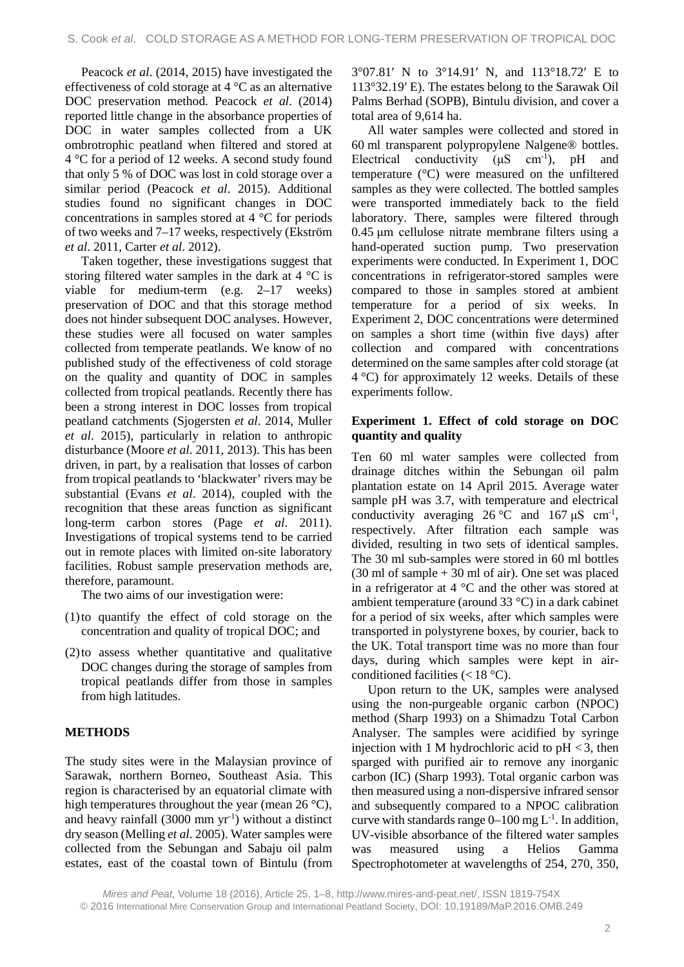Peacock *et al*. (2014, 2015) have investigated the effectiveness of cold storage at 4 °C as an alternative DOC preservation method. Peacock *et al*. (2014) reported little change in the absorbance properties of DOC in water samples collected from a UK ombrotrophic peatland when filtered and stored at 4 °C for a period of 12 weeks. A second study found that only 5 % of DOC was lost in cold storage over a similar period (Peacock *et al*. 2015). Additional studies found no significant changes in DOC concentrations in samples stored at 4 °C for periods of two weeks and 7–17 weeks, respectively (Ekström *et al*. 2011, Carter *et al*. 2012).

Taken together, these investigations suggest that storing filtered water samples in the dark at  $4 \degree C$  is viable for medium-term (e.g. 2–17 weeks) preservation of DOC and that this storage method does not hinder subsequent DOC analyses. However, these studies were all focused on water samples collected from temperate peatlands. We know of no published study of the effectiveness of cold storage on the quality and quantity of DOC in samples collected from tropical peatlands. Recently there has been a strong interest in DOC losses from tropical peatland catchments (Sjogersten *et al*. 2014, Muller *et al*. 2015), particularly in relation to anthropic disturbance (Moore *et al*. 2011, 2013). This has been driven, in part, by a realisation that losses of carbon from tropical peatlands to 'blackwater' rivers may be substantial (Evans *et al*. 2014), coupled with the recognition that these areas function as significant long-term carbon stores (Page *et al*. 2011). Investigations of tropical systems tend to be carried out in remote places with limited on-site laboratory facilities. Robust sample preservation methods are, therefore, paramount.

The two aims of our investigation were:

- (1)to quantify the effect of cold storage on the concentration and quality of tropical DOC; and
- (2)to assess whether quantitative and qualitative DOC changes during the storage of samples from tropical peatlands differ from those in samples from high latitudes.

# **METHODS**

The study sites were in the Malaysian province of Sarawak, northern Borneo, Southeast Asia. This region is characterised by an equatorial climate with high temperatures throughout the year (mean  $26^{\circ}$ C), and heavy rainfall  $(3000 \text{ mm yr}^{-1})$  without a distinct dry season (Melling *et al*. 2005). Water samples were collected from the Sebungan and Sabaju oil palm estates, east of the coastal town of Bintulu (from 3°07.81′ N to 3°14.91′ N, and 113°18.72′ E to 113°32.19′ E). The estates belong to the Sarawak Oil Palms Berhad (SOPB), Bintulu division, and cover a total area of 9,614 ha.

All water samples were collected and stored in 60 ml transparent polypropylene Nalgene® bottles. Electrical conductivity  $(\mu S \text{ cm}^{-1})$ , pH and temperature (°C) were measured on the unfiltered samples as they were collected. The bottled samples were transported immediately back to the field laboratory. There, samples were filtered through 0.45 μm cellulose nitrate membrane filters using a hand-operated suction pump. Two preservation experiments were conducted. In Experiment 1, DOC concentrations in refrigerator-stored samples were compared to those in samples stored at ambient temperature for a period of six weeks. In Experiment 2, DOC concentrations were determined on samples a short time (within five days) after collection and compared with concentrations determined on the same samples after cold storage (at  $4^{\circ}$ C) for approximately 12 weeks. Details of these experiments follow.

# **Experiment 1. Effect of cold storage on DOC quantity and quality**

Ten 60 ml water samples were collected from drainage ditches within the Sebungan oil palm plantation estate on 14 April 2015. Average water sample pH was 3.7, with temperature and electrical conductivity averaging  $26^{\circ}$ C and  $167 \mu S$  cm<sup>-1</sup>, respectively. After filtration each sample was divided, resulting in two sets of identical samples. The 30 ml sub-samples were stored in 60 ml bottles  $(30 \text{ ml of sample} + 30 \text{ ml of air})$ . One set was placed in a refrigerator at 4 °C and the other was stored at ambient temperature (around 33 °C) in a dark cabinet for a period of six weeks, after which samples were transported in polystyrene boxes, by courier, back to the UK. Total transport time was no more than four days, during which samples were kept in airconditioned facilities  $(< 18 \degree C)$ .

Upon return to the UK, samples were analysed using the non-purgeable organic carbon (NPOC) method (Sharp 1993) on a Shimadzu Total Carbon Analyser. The samples were acidified by syringe injection with 1 M hydrochloric acid to  $pH < 3$ , then sparged with purified air to remove any inorganic carbon (IC) (Sharp 1993). Total organic carbon was then measured using a non-dispersive infrared sensor and subsequently compared to a NPOC calibration curve with standards range  $0-100$  mg  $L^{-1}$ . In addition, UV-visible absorbance of the filtered water samples was measured using a Helios Gamma Spectrophotometer at wavelengths of 254, 270, 350,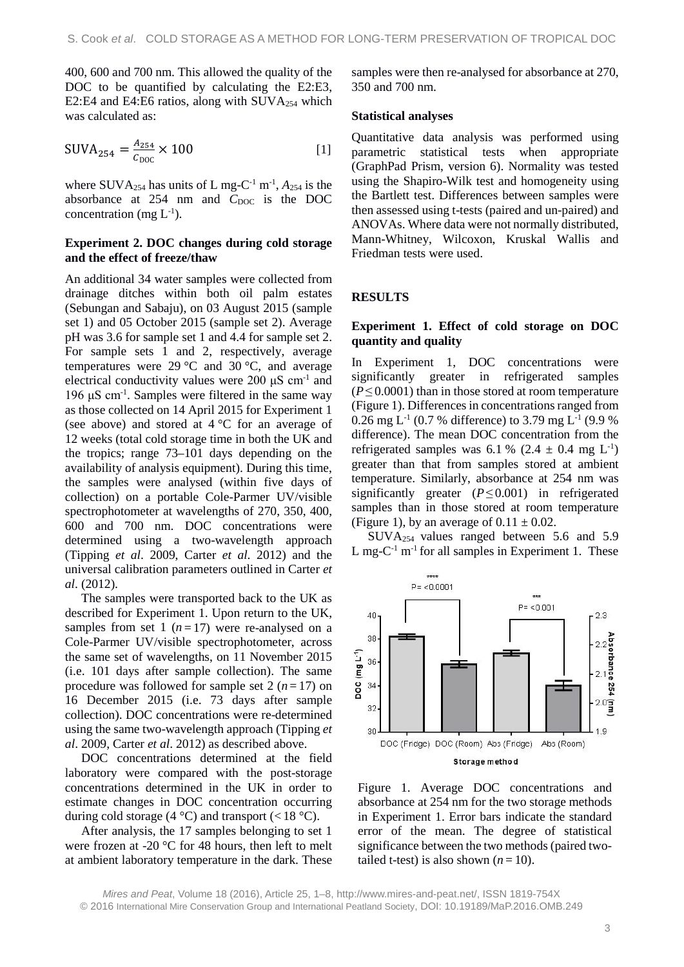400, 600 and 700 nm. This allowed the quality of the DOC to be quantified by calculating the E2:E3, E2:E4 and E4:E6 ratios, along with  $\text{SUVA}_{254}$  which was calculated as:

$$
SUVA_{254} = \frac{A_{254}}{c_{\text{DOC}}} \times 100
$$
 [1]

where SUVA<sub>254</sub> has units of L mg-C<sup>-1</sup> m<sup>-1</sup>,  $A_{254}$  is the absorbance at 254 nm and  $C_{\text{DOC}}$  is the DOC concentration (mg  $L^{-1}$ ).

### **Experiment 2. DOC changes during cold storage and the effect of freeze/thaw**

An additional 34 water samples were collected from drainage ditches within both oil palm estates (Sebungan and Sabaju), on 03 August 2015 (sample set 1) and 05 October 2015 (sample set 2). Average pH was 3.6 for sample set 1 and 4.4 for sample set 2. For sample sets 1 and 2, respectively, average temperatures were 29 °C and 30 °C, and average electrical conductivity values were 200  $\mu$ S cm<sup>-1</sup> and 196 μS cm<sup>-1</sup>. Samples were filtered in the same way as those collected on 14 April 2015 for Experiment 1 (see above) and stored at  $4^{\circ}$ C for an average of 12 weeks (total cold storage time in both the UK and the tropics; range 73–101 days depending on the availability of analysis equipment). During this time, the samples were analysed (within five days of collection) on a portable Cole-Parmer UV/visible spectrophotometer at wavelengths of 270, 350, 400, 600 and 700 nm. DOC concentrations were determined using a two-wavelength approach (Tipping *et al*. 2009, Carter *et al*. 2012) and the universal calibration parameters outlined in Carter *et al*. (2012).

The samples were transported back to the UK as described for Experiment 1. Upon return to the UK, samples from set 1  $(n=17)$  were re-analysed on a Cole-Parmer UV/visible spectrophotometer, across the same set of wavelengths, on 11 November 2015 (i.e. 101 days after sample collection). The same procedure was followed for sample set 2  $(n=17)$  on 16 December 2015 (i.e. 73 days after sample collection). DOC concentrations were re-determined using the same two-wavelength approach (Tipping *et al*. 2009, Carter *et al*. 2012) as described above.

DOC concentrations determined at the field laboratory were compared with the post-storage concentrations determined in the UK in order to estimate changes in DOC concentration occurring during cold storage (4 °C) and transport (<18 °C).

After analysis, the 17 samples belonging to set 1 were frozen at -20 °C for 48 hours, then left to melt at ambient laboratory temperature in the dark. These

samples were then re-analysed for absorbance at 270, 350 and 700 nm.

#### **Statistical analyses**

Quantitative data analysis was performed using parametric statistical tests when appropriate (GraphPad Prism, version 6). Normality was tested using the Shapiro-Wilk test and homogeneity using the Bartlett test. Differences between samples were then assessed using t-tests (paired and un-paired) and ANOVAs. Where data were not normally distributed, Mann-Whitney, Wilcoxon, Kruskal Wallis and Friedman tests were used.

### **RESULTS**

# **Experiment 1. Effect of cold storage on DOC quantity and quality**

In Experiment 1, DOC concentrations were significantly greater in refrigerated samples  $(P \le 0.0001)$  than in those stored at room temperature (Figure 1). Differences in concentrations ranged from 0.26 mg L<sup>-1</sup> (0.7 % difference) to 3.79 mg L<sup>-1</sup> (9.9 %) difference). The mean DOC concentration from the refrigerated samples was 6.1 % (2.4  $\pm$  0.4 mg L<sup>-1</sup>) greater than that from samples stored at ambient temperature. Similarly, absorbance at 254 nm was significantly greater (*P*≤ 0.001) in refrigerated samples than in those stored at room temperature (Figure 1), by an average of  $0.11 \pm 0.02$ .

SUVA254 values ranged between 5.6 and 5.9 L mg- $C^{-1}$  m<sup>-1</sup> for all samples in Experiment 1. These



Figure 1. Average DOC concentrations and absorbance at 254 nm for the two storage methods in Experiment 1. Error bars indicate the standard error of the mean. The degree of statistical significance between the two methods (paired twotailed t-test) is also shown  $(n=10)$ .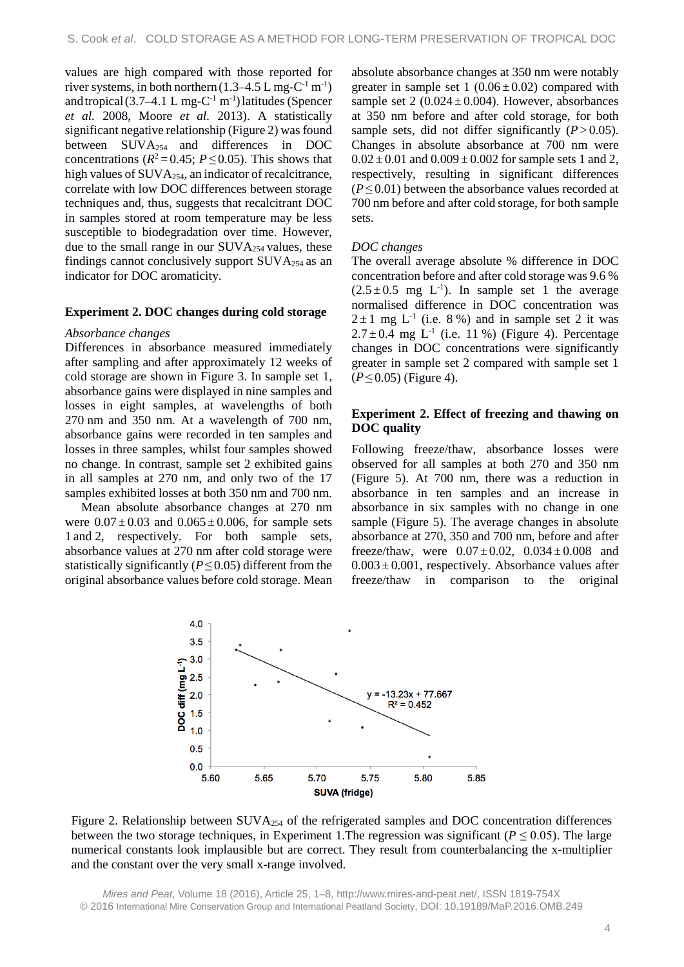values are high compared with those reported for river systems, in both northern  $(1.3-4.5 \text{ L mg-C}^{-1} \text{ m}^{-1})$ and tropical  $(3.7-4.1 \text{ L mg-C}^{-1} \text{ m}^{-1})$  latitudes (Spencer *et al.* 2008, Moore *et al.* 2013). A statistically significant negative relationship (Figure 2) was found between SUVA254 and differences in DOC concentrations ( $R^2 = 0.45$ ;  $P \le 0.05$ ). This shows that high values of SUVA<sub>254</sub>, an indicator of recalcitrance, correlate with low DOC differences between storage techniques and, thus, suggests that recalcitrant DOC in samples stored at room temperature may be less susceptible to biodegradation over time. However, due to the small range in our SUVA254 values, these findings cannot conclusively support  $\text{SUVA}_{254}$  as an indicator for DOC aromaticity.

### **Experiment 2. DOC changes during cold storage**

#### *Absorbance changes*

Differences in absorbance measured immediately after sampling and after approximately 12 weeks of cold storage are shown in Figure 3. In sample set 1, absorbance gains were displayed in nine samples and losses in eight samples, at wavelengths of both 270 nm and 350 nm. At a wavelength of 700 nm, absorbance gains were recorded in ten samples and losses in three samples, whilst four samples showed no change. In contrast, sample set 2 exhibited gains in all samples at 270 nm, and only two of the 17 samples exhibited losses at both 350 nm and 700 nm.

Mean absolute absorbance changes at 270 nm were  $0.07 \pm 0.03$  and  $0.065 \pm 0.006$ , for sample sets 1 and 2, respectively. For both sample sets, absorbance values at 270 nm after cold storage were statistically significantly (*P*≤ 0.05) different from the original absorbance values before cold storage. Mean absolute absorbance changes at 350 nm were notably greater in sample set  $1(0.06 \pm 0.02)$  compared with sample set  $2(0.024 \pm 0.004)$ . However, absorbances at 350 nm before and after cold storage, for both sample sets, did not differ significantly  $(P > 0.05)$ . Changes in absolute absorbance at 700 nm were  $0.02 \pm 0.01$  and  $0.009 \pm 0.002$  for sample sets 1 and 2, respectively, resulting in significant differences  $(P \leq 0.01)$  between the absorbance values recorded at 700 nm before and after cold storage, for both sample sets.

#### *DOC changes*

The overall average absolute % difference in DOC concentration before and after cold storage was 9.6 %  $(2.5 \pm 0.5 \text{ mg } L^{-1})$ . In sample set 1 the average normalised difference in DOC concentration was  $2 \pm 1$  mg L<sup>-1</sup> (i.e. 8 %) and in sample set 2 it was  $2.7 \pm 0.4$  mg L<sup>-1</sup> (i.e. 11 %) (Figure 4). Percentage changes in DOC concentrations were significantly greater in sample set 2 compared with sample set 1 (*P*≤ 0.05) (Figure 4).

### **Experiment 2. Effect of freezing and thawing on DOC quality**

Following freeze/thaw, absorbance losses were observed for all samples at both 270 and 350 nm (Figure 5). At 700 nm, there was a reduction in absorbance in ten samples and an increase in absorbance in six samples with no change in one sample (Figure 5). The average changes in absolute absorbance at 270, 350 and 700 nm, before and after freeze/thaw, were  $0.07 \pm 0.02$ ,  $0.034 \pm 0.008$  and  $0.003 \pm 0.001$ , respectively. Absorbance values after freeze/thaw in comparison to the original



Figure 2. Relationship between SUVA<sub>254</sub> of the refrigerated samples and DOC concentration differences between the two storage techniques, in Experiment 1.The regression was significant ( $P \le 0.05$ ). The large numerical constants look implausible but are correct. They result from counterbalancing the x-multiplier and the constant over the very small x-range involved.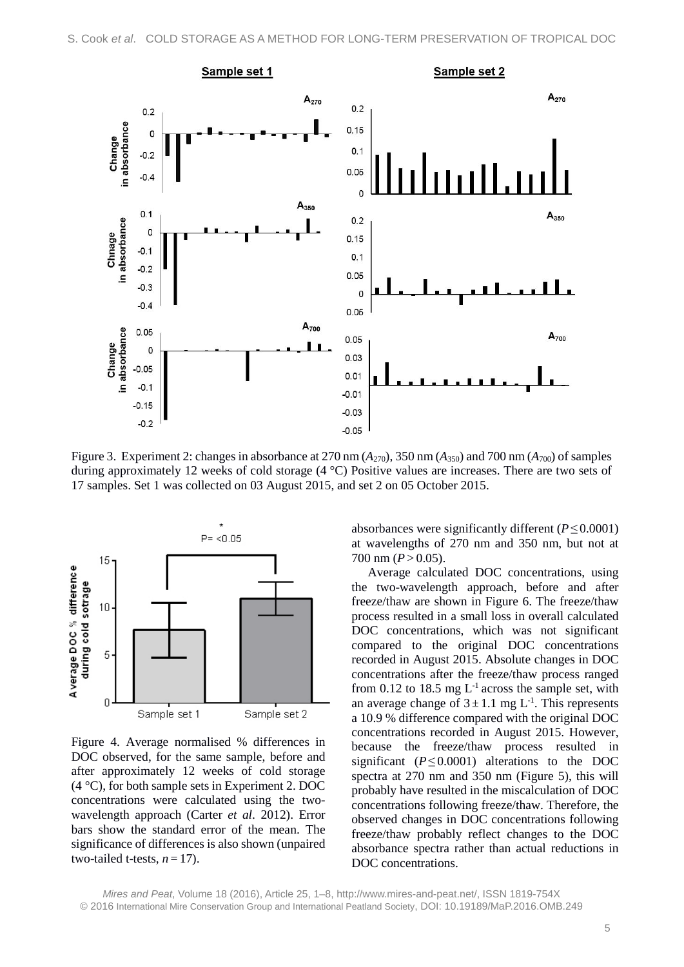

Figure 3. Experiment 2: changes in absorbance at 270 nm  $(A_{270})$ , 350 nm  $(A_{350})$  and 700 nm  $(A_{700})$  of samples during approximately 12 weeks of cold storage (4 °C) Positive values are increases. There are two sets of 17 samples. Set 1 was collected on 03 August 2015, and set 2 on 05 October 2015.



Figure 4. Average normalised % differences in DOC observed, for the same sample, before and after approximately 12 weeks of cold storage (4 °C), for both sample sets in Experiment 2. DOC concentrations were calculated using the twowavelength approach (Carter *et al*. 2012). Error bars show the standard error of the mean. The significance of differences is also shown (unpaired two-tailed t-tests,  $n = 17$ ).

absorbances were significantly different (*P*≤ 0.0001) at wavelengths of 270 nm and 350 nm, but not at 700 nm  $(P > 0.05)$ .

Average calculated DOC concentrations, using the two-wavelength approach, before and after freeze/thaw are shown in Figure 6. The freeze/thaw process resulted in a small loss in overall calculated DOC concentrations, which was not significant compared to the original DOC concentrations recorded in August 2015. Absolute changes in DOC concentrations after the freeze/thaw process ranged from 0.12 to 18.5 mg  $L^{-1}$  across the sample set, with an average change of  $3 \pm 1.1$  mg L<sup>-1</sup>. This represents a 10.9 % difference compared with the original DOC concentrations recorded in August 2015. However, because the freeze/thaw process resulted in significant  $(P \le 0.0001)$  alterations to the DOC spectra at 270 nm and 350 nm (Figure 5), this will probably have resulted in the miscalculation of DOC concentrations following freeze/thaw. Therefore, the observed changes in DOC concentrations following freeze/thaw probably reflect changes to the DOC absorbance spectra rather than actual reductions in DOC concentrations.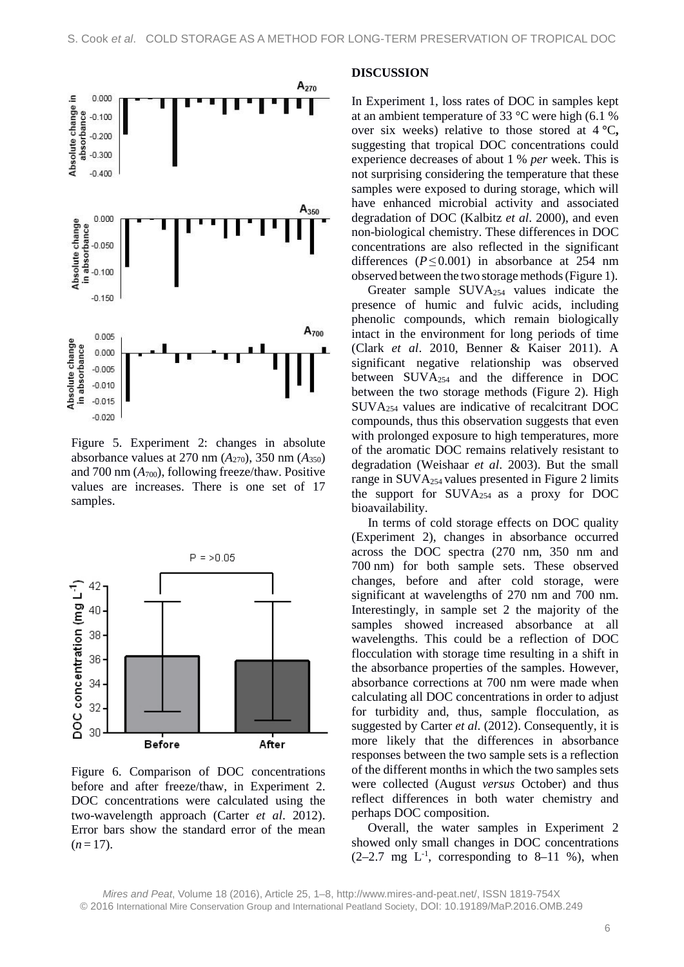

Figure 5. Experiment 2: changes in absolute absorbance values at 270 nm (*A*270), 350 nm (*A*350) and 700 nm  $(A_{700})$ , following freeze/thaw. Positive values are increases. There is one set of 17 samples.



Figure 6. Comparison of DOC concentrations before and after freeze/thaw, in Experiment 2. DOC concentrations were calculated using the two-wavelength approach (Carter *et al*. 2012). Error bars show the standard error of the mean  $(n=17)$ .

### **DISCUSSION**

In Experiment 1, loss rates of DOC in samples kept at an ambient temperature of 33 °C were high (6.1 % over six weeks) relative to those stored at 4 **°**C**,** suggesting that tropical DOC concentrations could experience decreases of about 1 % *per* week. This is not surprising considering the temperature that these samples were exposed to during storage, which will have enhanced microbial activity and associated degradation of DOC (Kalbitz *et al*. 2000), and even non-biological chemistry. These differences in DOC concentrations are also reflected in the significant differences (*P*≤ 0.001) in absorbance at 254 nm observed between the two storage methods(Figure 1).

Greater sample SUVA254 values indicate the presence of humic and fulvic acids, including phenolic compounds, which remain biologically intact in the environment for long periods of time (Clark *et al*. 2010, Benner & Kaiser 2011). A significant negative relationship was observed between SUVA254 and the difference in DOC between the two storage methods (Figure 2). High SUVA254 values are indicative of recalcitrant DOC compounds, thus this observation suggests that even with prolonged exposure to high temperatures, more of the aromatic DOC remains relatively resistant to degradation (Weishaar *et al*. 2003). But the small range in SUVA254 values presented in Figure 2 limits the support for SUVA254 as a proxy for DOC bioavailability.

In terms of cold storage effects on DOC quality (Experiment 2), changes in absorbance occurred across the DOC spectra (270 nm, 350 nm and 700 nm) for both sample sets. These observed changes, before and after cold storage, were significant at wavelengths of 270 nm and 700 nm. Interestingly, in sample set 2 the majority of the samples showed increased absorbance at all wavelengths. This could be a reflection of DOC flocculation with storage time resulting in a shift in the absorbance properties of the samples. However, absorbance corrections at 700 nm were made when calculating all DOC concentrations in order to adjust for turbidity and, thus, sample flocculation, as suggested by Carter *et al.* (2012). Consequently, it is more likely that the differences in absorbance responses between the two sample sets is a reflection of the different months in which the two samples sets were collected (August *versus* October) and thus reflect differences in both water chemistry and perhaps DOC composition.

Overall, the water samples in Experiment 2 showed only small changes in DOC concentrations  $(2-2.7 \text{ mg } L^{-1}$ , corresponding to 8-11 %), when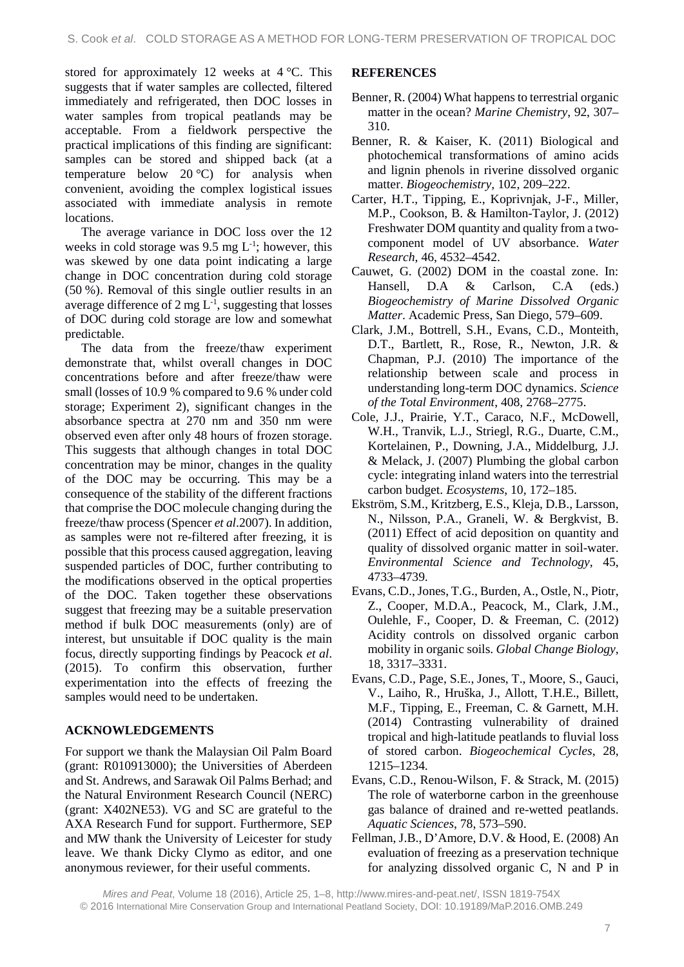stored for approximately 12 weeks at 4 °C. This suggests that if water samples are collected, filtered immediately and refrigerated, then DOC losses in water samples from tropical peatlands may be acceptable. From a fieldwork perspective the practical implications of this finding are significant: samples can be stored and shipped back (at a temperature below 20 °C) for analysis when convenient, avoiding the complex logistical issues associated with immediate analysis in remote locations.

The average variance in DOC loss over the 12 weeks in cold storage was  $9.5 \text{ mg } L^{-1}$ ; however, this was skewed by one data point indicating a large change in DOC concentration during cold storage (50 %). Removal of this single outlier results in an average difference of  $2 \text{ mg } L^{-1}$ , suggesting that losses of DOC during cold storage are low and somewhat predictable.

The data from the freeze/thaw experiment demonstrate that, whilst overall changes in DOC concentrations before and after freeze/thaw were small (losses of 10.9 % compared to 9.6 % under cold storage; Experiment 2), significant changes in the absorbance spectra at 270 nm and 350 nm were observed even after only 48 hours of frozen storage. This suggests that although changes in total DOC concentration may be minor, changes in the quality of the DOC may be occurring. This may be a consequence of the stability of the different fractions that comprise the DOC molecule changing during the freeze/thaw process (Spencer *et al*.2007). In addition, as samples were not re-filtered after freezing, it is possible that this process caused aggregation, leaving suspended particles of DOC, further contributing to the modifications observed in the optical properties of the DOC. Taken together these observations suggest that freezing may be a suitable preservation method if bulk DOC measurements (only) are of interest, but unsuitable if DOC quality is the main focus, directly supporting findings by Peacock *et al*. (2015). To confirm this observation, further experimentation into the effects of freezing the samples would need to be undertaken.

# **ACKNOWLEDGEMENTS**

For support we thank the Malaysian Oil Palm Board (grant: R010913000); the Universities of Aberdeen and St. Andrews, and Sarawak Oil Palms Berhad; and the Natural Environment Research Council (NERC) (grant: X402NE53). VG and SC are grateful to the AXA Research Fund for support. Furthermore, SEP and MW thank the University of Leicester for study leave. We thank Dicky Clymo as editor, and one anonymous reviewer, for their useful comments.

# **REFERENCES**

- Benner, R. (2004) What happens to terrestrial organic matter in the ocean? *Marine Chemistry*, 92, 307– 310.
- Benner, R. & Kaiser, K. (2011) Biological and photochemical transformations of amino acids and lignin phenols in riverine dissolved organic matter. *Biogeochemistry,* 102, 209–222.
- Carter, H.T., Tipping, E., Koprivnjak, J-F., Miller, M.P., Cookson, B. & Hamilton-Taylor, J. (2012) Freshwater DOM quantity and quality from a twocomponent model of UV absorbance. *Water Research*, 46, 4532–4542.
- Cauwet, G. (2002) DOM in the coastal zone. In: Hansell, D.A & Carlson, C.A (eds.) *Biogeochemistry of Marine Dissolved Organic Matter*. Academic Press, San Diego, 579–609.
- Clark, J.M., Bottrell, S.H., Evans, C.D., Monteith, D.T., Bartlett, R., Rose, R., Newton, J.R. & Chapman, P.J. (2010) The importance of the relationship between scale and process in understanding long-term DOC dynamics. *Science of the Total Environment*, 408, 2768–2775.
- Cole, J.J., Prairie, Y.T., Caraco, N.F., McDowell, W.H., Tranvik, L.J., Striegl, R.G., Duarte, C.M., Kortelainen, P., Downing, J.A., Middelburg, J.J. & Melack, J. (2007) Plumbing the global carbon cycle: integrating inland waters into the terrestrial carbon budget. *Ecosystems*, 10, 172–185.
- Ekström, S.M., Kritzberg, E.S., Kleja, D.B., Larsson, N., Nilsson, P.A., Graneli, W. & Bergkvist, B. (2011) Effect of acid deposition on quantity and quality of dissolved organic matter in soil-water. *Environmental Science and Technology*, 45, 4733–4739.
- Evans, C.D., Jones, T.G., Burden, A., Ostle, N., Piotr, Z., Cooper, M.D.A., Peacock, M., Clark, J.M., Oulehle, F., Cooper, D. & Freeman, C. (2012) Acidity controls on dissolved organic carbon mobility in organic soils. *Global Change Biology*, 18, 3317–3331.
- Evans, C.D., Page, S.E., Jones, T., Moore, S., Gauci, V., Laiho, R., Hruška, J., Allott, T.H.E., Billett, M.F., Tipping, E., Freeman, C. & Garnett, M.H. (2014) Contrasting vulnerability of drained tropical and high-latitude peatlands to fluvial loss of stored carbon. *Biogeochemical Cycles*, 28, 1215–1234.
- Evans, C.D., Renou-Wilson, F. & Strack, M. (2015) The role of waterborne carbon in the greenhouse gas balance of drained and re-wetted peatlands. *Aquatic Sciences*, 78, 573–590.
- Fellman, J.B., D'Amore, D.V. & Hood, E. (2008) An evaluation of freezing as a preservation technique for analyzing dissolved organic C, N and P in